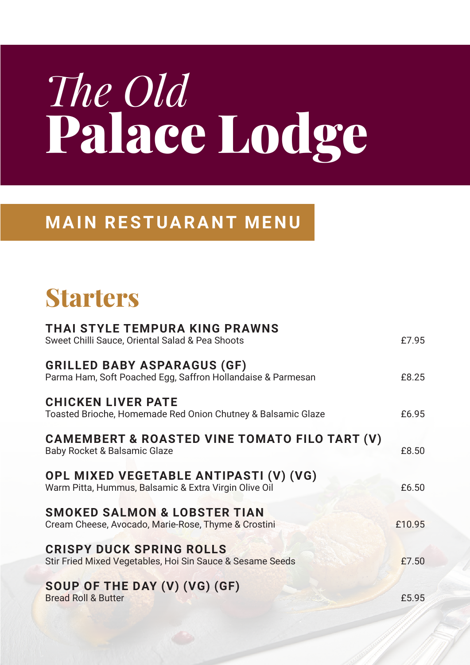# *The Old* Palace Lodge

#### **MAIN RESTUARANT MENU**

# Starters

| THAI STYLE TEMPURA KING PRAWNS<br>Sweet Chilli Sauce, Oriental Salad & Pea Shoots                   | £7.95  |
|-----------------------------------------------------------------------------------------------------|--------|
| <b>GRILLED BABY ASPARAGUS (GF)</b><br>Parma Ham, Soft Poached Egg, Saffron Hollandaise & Parmesan   | £8.25  |
| <b>CHICKEN LIVER PATE</b><br>Toasted Brioche, Homemade Red Onion Chutney & Balsamic Glaze           | £6.95  |
| <b>CAMEMBERT &amp; ROASTED VINE TOMATO FILO TART (V)</b><br><b>Baby Rocket &amp; Balsamic Glaze</b> | £8.50  |
| OPL MIXED VEGETABLE ANTIPASTI (V) (VG)<br>Warm Pitta, Hummus, Balsamic & Extra Virgin Olive Oil     | £6.50  |
| <b>SMOKED SALMON &amp; LOBSTER TIAN</b><br>Cream Cheese, Avocado, Marie-Rose, Thyme & Crostini      | £10.95 |
| <b>CRISPY DUCK SPRING ROLLS</b><br>Stir Fried Mixed Vegetables, Hoi Sin Sauce & Sesame Seeds        | £7.50  |
| SOUP OF THE DAY (V) (VG) (GF)<br><b>Bread Roll &amp; Butter</b>                                     | £5.95  |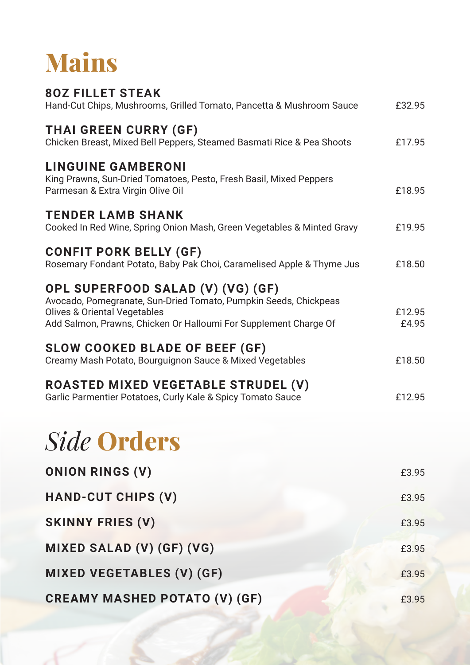

| <b>80Z FILLET STEAK</b><br>Hand-Cut Chips, Mushrooms, Grilled Tomato, Pancetta & Mushroom Sauce                                                                                                                      | £32.95          |
|----------------------------------------------------------------------------------------------------------------------------------------------------------------------------------------------------------------------|-----------------|
| <b>THAI GREEN CURRY (GF)</b><br>Chicken Breast, Mixed Bell Peppers, Steamed Basmati Rice & Pea Shoots                                                                                                                | £17.95          |
| <b>LINGUINE GAMBERONI</b><br>King Prawns, Sun-Dried Tomatoes, Pesto, Fresh Basil, Mixed Peppers<br>Parmesan & Extra Virgin Olive Oil                                                                                 | £18.95          |
| <b>TENDER LAMB SHANK</b><br>Cooked In Red Wine, Spring Onion Mash, Green Vegetables & Minted Gravy                                                                                                                   | £19.95          |
| <b>CONFIT PORK BELLY (GF)</b><br>Rosemary Fondant Potato, Baby Pak Choi, Caramelised Apple & Thyme Jus                                                                                                               | £18.50          |
| OPL SUPERFOOD SALAD (V) (VG) (GF)<br>Avocado, Pomegranate, Sun-Dried Tomato, Pumpkin Seeds, Chickpeas<br><b>Olives &amp; Oriental Vegetables</b><br>Add Salmon, Prawns, Chicken Or Halloumi For Supplement Charge Of | £12.95<br>£4.95 |
| <b>SLOW COOKED BLADE OF BEEF (GF)</b><br>Creamy Mash Potato, Bourguignon Sauce & Mixed Vegetables                                                                                                                    | £18.50          |
| ROASTED MIXED VEGETABLE STRUDEL (V)<br>Garlic Parmentier Potatoes, Curly Kale & Spicy Tomato Sauce                                                                                                                   | £12.95          |
| <b>Side Orders</b>                                                                                                                                                                                                   |                 |
| <b>ONION RINGS (V)</b>                                                                                                                                                                                               | £3.95           |
| <b>HAND-CUT CHIPS (V)</b>                                                                                                                                                                                            | £3.95           |

# **SKINNY FRIES (V)**  $£3.95$

### **MIXED SALAD (V) (GF) (VG) E3.95 MIXED VEGETABLES (V) (GF)**  $63.95$ **CREAMY MASHED POTATO (V) (GF)**  $63.95$